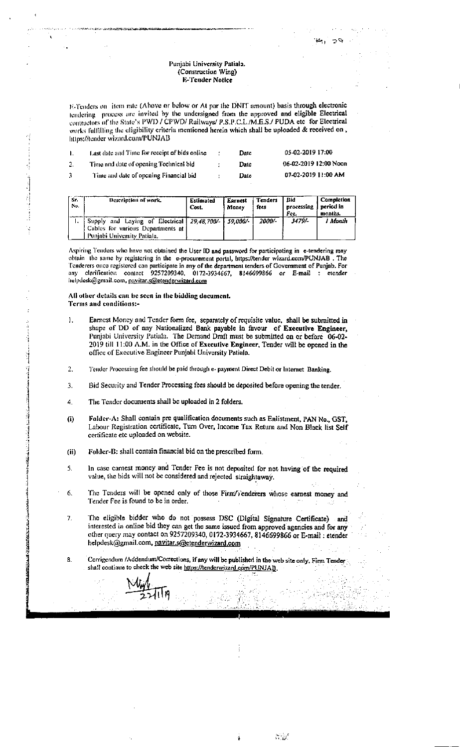## Punjabi University Patiala. (Construction Wing) E-Tender Notice

E-Tenders on litem rate (Above or below or At par the DNIT amount) basis through electronic tendering process are invited by the undersigned from the approved and eligible Electrical contractors of the State's PWD / CPWD/ Railways/ P.S.P.C.L./M.E.S./ PUDA etc\_for Electrical works fulfilling the eligibility criteria mentioned herein which shall be uploaded & received on, https://tender-wizard.com/PUNJAB

|    | Last date and Time for receipt of bids online |   | Datc | 05-02-2019 17:00      |
|----|-----------------------------------------------|---|------|-----------------------|
|    | Time and date of opening Technical bid.       |   | Date | 06-02-2019 12:00 Noon |
| З. | Time and date of opening Financial bid        | ÷ | Date | 07-02-2019 11:00 AM   |

| Sr.<br>No. | Description of work.                                                                                                     | Estimated<br>Cost. | Earnest<br>Money | Tenders<br>fees | Bid<br>processing<br>Fee. | Completion<br>period in<br>months. |
|------------|--------------------------------------------------------------------------------------------------------------------------|--------------------|------------------|-----------------|---------------------------|------------------------------------|
|            | Supply and Laying of Electrical 29,48,700/- 59,000/-<br>Cables for various Departments at<br>Punjabi University Patiala. |                    |                  | 2000/-          | 3479/-                    | l Month                            |

Aspiring Tenders who have not obtained the User ID and password for participating in e-tendering may obtain the same by registering in the e-procurement portal, https://tender wizard.com/PUNJAB. The Tenderers once registered can participate in any of the department tenders of Government of Punjab. For any clarification contact 9257209340, 0172-3934667, 8146699866 or E-mail : etender helpdesk@gmail.com, pavitar.s@etenderwizard.com

## All other details can be seen in the bidding document. Terms and conditions:-

- $\mathbf{I}$ . Earnest Money and Tender form fee, separately of requisite value, shall be submitted in shape of DD of any Nationalized Bank payable in favour of Executive Engineer, Punjabi University Putiala. The Demand Draft must be submitted on or before 06-02-2019 till 11:00 A.M. in the Office of Executive Engineer, Tender will be opened in the office of Executive Engineer Punjabi University Patiala.
- $\overline{2}$ . Tender Processing fee should be paid through e- payment Direct Debit or Internet Banking.
- 3. Bid Security and Tender Processing fees should be deposited before opening the tender.
- The Tender documents shall be uploaded in 2 folders. 4.
- Folder-A: Shall contain pre qualification documents such as Enlistment, PAN No., GST,  $(i)$ Labour Registration certificate, Turn Over, Income Tax Return and Non Black list Self certificate etc uploaded on website.
- $(ii)$ Folder-B: shall contain financial bid on the prescribed form.
- In case carnest money and Tender Fee is not deposited for not having of the required 5. value, the bids will not be considered and rejected straightaway.
- The Tenders will be opened only of those Firm/Tenderers whose earnest money and 6. Tender Fee is found to be in order.
- 7. The eligible bidder who do not possess DSC (Digital Signature Certificate) and interested in online bid they can get the same issued from approved agencies and for any other query may contact on 9257209340, 0172-3934667, 8146699866 or E-mail : etender helpdesk@gmail.com, pavitar.s@etenderwizard.com
- Corrigendum /Addendum/Corrections, if any will be published in the web site only. Firm Tender 8. shall continue to check the web site https://tenderwizard.com/PUNJAB.

a ar